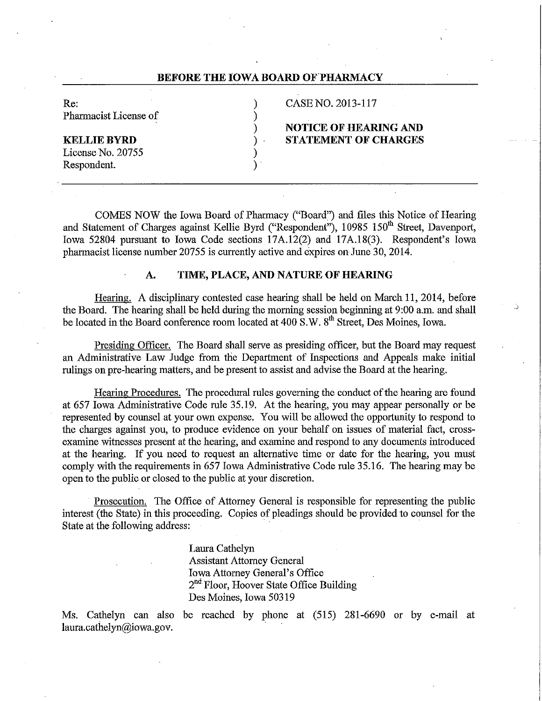## **BEFORE THE IOWA BOARD OF PHARMACY**

Re: (2013-117) CASE NO. 2013-117 Pharmacist License of (1)

# ) **NOTICE OF HEARING AND KELLIE BYRD** ) **STATEMENT OF CHARGES**

License No. 20755 ) Respondent.

COMES NOW the Iowa Board of Pharmacy ("Board") and files this Notice of Hearing and Statement of Charges against Kellie Byrd ("Respondent"), 10985 150<sup>th</sup> Street, Davenport, Iowa 52804 pursuant to Iowa Code sections 17A.12(2) and 17A.18(3). Respondent's Iowa pharmacist license number 20755 is currently active and expires on June 30, 2014.

### **A. TIME, PLACE, AND NATURE OF HEARING**

Hearing. A disciplinary contested case hearing shall be held on March 11, 2014, before the Board. The hearing shall be held during the morning session beginning at 9:00 a.m. and shall be located in the Board conference room located at 400 S.W. 8<sup>th</sup> Street, Des Moines, Iowa.

Presiding Officer. The Board shall serve as presiding officer, but the Board may request an Administrative Law Judge from the Department of Inspections and Appeals make initial rulings on pre-hearing matters, and be present to assist and advise the Board at the hearing.

Hearing Procedures. The procedural rules governing the conduct of the hearing are found at 657 Iowa Administrative Code rule 35.19. At the hearing, you may appear personally or be represented by counsel at your own expense. You will be allowed the opportunity to respond to the charges against you, to produce evidence on your behalf on issues of material fact, crossexarnine witnesses present at the hearing, and examine and respond to any documents introduced at the hearing. If you need to request an alternative time or date for the hearing, you must comply with the requirements in 657 Iowa Administrative Code rule 35.16. The hearing may be open to the public or closed to the public at your discretion.

Prosecution. The Office of Attorney General is responsible for representing the public interest (the State) in this proceeding. Copies of pleadings should be provided to counsel for the State at the following address:

> Laura Cathelyn Assistant Attorney General Iowa Attorney General's Office 2<sup>nd</sup> Floor, Hoover State Office Building Des Moines, Iowa 50319

Ms. Cathelyn can also be reached by phone at (515) 281-6690 or by e-mail at laura.cathelyn@iowa.gov.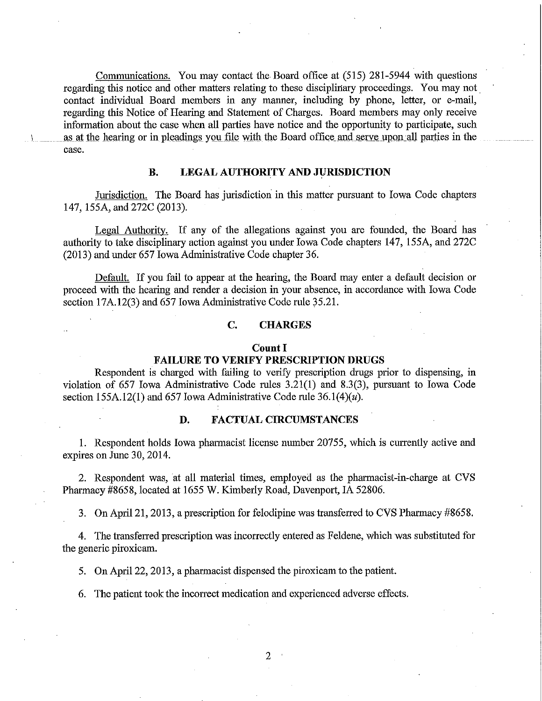Communications. You may contact the Board office at (515) 281-5944 with questions regarding this notice and other matters relating to these disciplinary proceedings. You may not. contact individual Board members in any manner, including by phone, letter, or e-mail, regarding this Notice of Hearing and Statement of Charges. Board members may only receive information about the case when all parties have notice and the opportunity to participate, such as at the hearing or in pleadings you file with the Board office and serve upon all parties in the case.

### **B. LEGAL AUTHORITY AND JURISDICTION**

Jurisdiction. The Board has jurisdiction in this matter pursuant to Iowa Code chapters 147, 155A, and 272C (2013).

Legal Authority. If any of the allegations against you are founded, the Board has authority to take disciplinary action against you under Iowa Code chapters 147, 155A, and 272C (2013) and under 657 Iowa Administrative Code chapter 36.

Default. If you fail to appear at the hearing, the Board may enter a default decision or proceed with the hearing and render a decision in your absence, in accordance with Iowa Code section 17A.12(3) and 657 Iowa Administrative Code rule 35.21.

### **C. CHARGES**

#### **Count I**

#### **FAILURE TO VERIFY PRESCRIPTION DRUGS**

Respondent is charged with failing to verify prescription drugs prior to dispensing, in violation of 657 Iowa Administrative Code rules 3.21(1) and 8.3(3), pursuant to Iowa Code section 155A.12(1) and 657 Iowa Administrative Code rule  $36.1(4)(u)$ .

### **D. FACTUAL CIRCUMSTANCES**

1. Respondent holds Iowa pharmacist license number 20755, which is currently active and expires on June 30, 2014.

2. Respondent was, at all material times, employed as the pharmacist-in-charge at CVS Pharmacy #8658, located at 1655 W. Kimberly Road, Davenport, IA 52806.

3. On April 21, 2013, a prescription for felodipine was transferred to CVS Pharmacy #8658.

4. The transferred prescription was incorrectly entered as Feldene, which was substituted for the generic piroxicam.

5. On April 22, 2013, a pharmacist dispensed the piroxicam to the patient.

6. The patient took the incorrect medication and experienced adverse effects.

2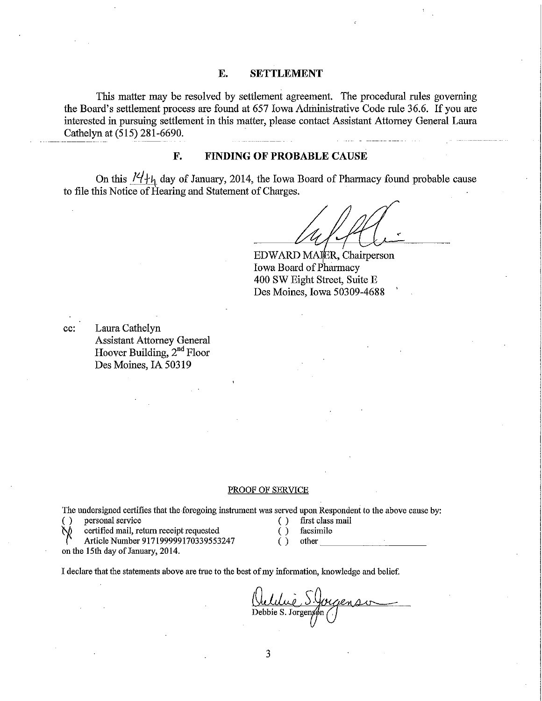### **E. SETTLEMENT**

This matter may be resolved by settlement agreement. The procedural rules governing the Board's settlement process are found at 657 Iowa Administrative Code rule 36.6. If you are interested in pursuing settlement in this matter, please contact Assistant Attorney General Laura Cathelyn at (515) 281-6690.

## **F. FINDING OF PROBABLE CAUSE**

On this  $14 + h$  day of January, 2014, the Iowa Board of Pharmacy found probable cause to file this Notice of Hearing and Statement of Charges.

EDWARD MAJER, Chairperson Iowa Board of Pharmacy 400 SW Eight Street, Suite E Des Moines, Iowa 50309-4688

cc: Laura Cathelyn Assistant Attorney General Hoover Building, 2<sup>nd</sup> Floor Des Moines, IA 50319

#### PROOF OF SERVICE

The undersigned certifies that the foregoing instrument was served upon Respondent to the above cause by:

( ) personal service ( ) first class mail

**CONGET CONGET CONGETER CONGETER CONGETER** ( ) facsimile

Article Number 917199999170339553247 () other

on the 15th day of January, 2014.

I declare that the statements above are true to the best ofmy information, knowledge and belief.

Quelilie S.Jorgenson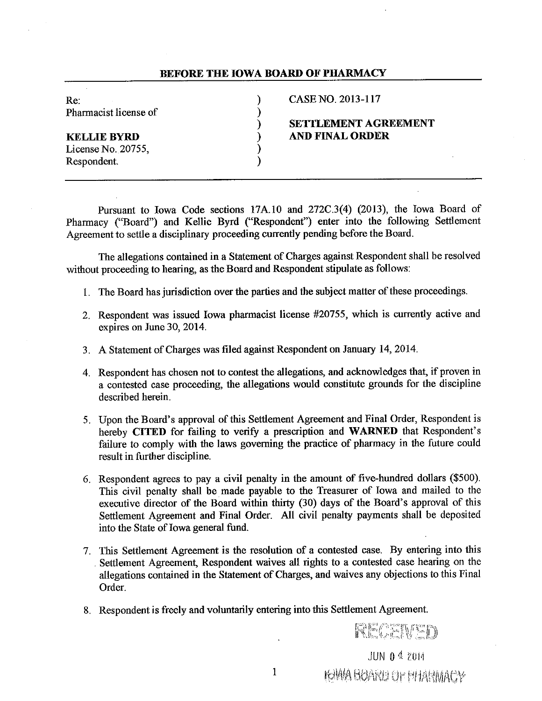### BEFORE THE IOWA BOARD OF PHARMACY

| Re:                   | CASE NO. 2013-117           |
|-----------------------|-----------------------------|
| Pharmacist license of |                             |
|                       | <b>SETTLEMENT AGREEMENT</b> |
| KELLIE BYRD           | <b>AND FINAL ORDER</b>      |
| License No. 20755,    |                             |
| Respondent.           |                             |

Pursuant to Iowa Code sections 17A10 and 272C.3(4) (2013), the Iowa Board of Phannacy ("Board") and Kellie Byrd ("Respondent'') enter into the following Settlement Agreement to settle a disciplinary proceeding currently pending before the Board.

The allegations contained in a Statement of Charges against Respondent shall be resolved without proceeding to hearing, as the Board and Respondent stipulate as follows:

- 1. The Board has jurisdiction over the parties and the subject matter of these proceedings.
- 2. Respondent was issued Iowa pharmacist license #20755, which is currently active and expires on June 30, 2014.
- 3. A Statement of Charges was filed against Respondent on January 14, 2014.
- 4. Respondent has chosen not to contest the allegations, and acknowledges that, if proven in a contested case proceeding, the allegations would constitute grounds for the discipline described herein.
- 5. Upon the Board's approval of this Settlement Agreement and Final Order, Respondent is hereby CITED for failing to verify a prescription and WARNED that Respondent's failure to comply with the laws governing the practice of pharmacy in the future could result in further discipline.
- 6. Respondent agrees to pay a civil penalty in the amount of five-hundred dollars (\$500). This civil penalty shall be made payable to the Treasurer of Iowa and mailed to the executive director of the Board within thirty (30) days of the Board's approval of this Settlement Agreement and Final Order. All civil penalty payments shall be deposited into the State of Iowa general fund.
- 7. This Settlement Agreement is the resolution of a contested case. By entering into this . Settlement Agreement, Respondent waives all rights to a contested case hearing on the allegations contained in the Statement of Charges, and waives any objections to this Final Order.
- 8. Respondent is freely and voluntarily entering into this Settlement Agreement.

JUN 04 2014

**IGWA BOARD OF BHARMACY** 

RECENED

1